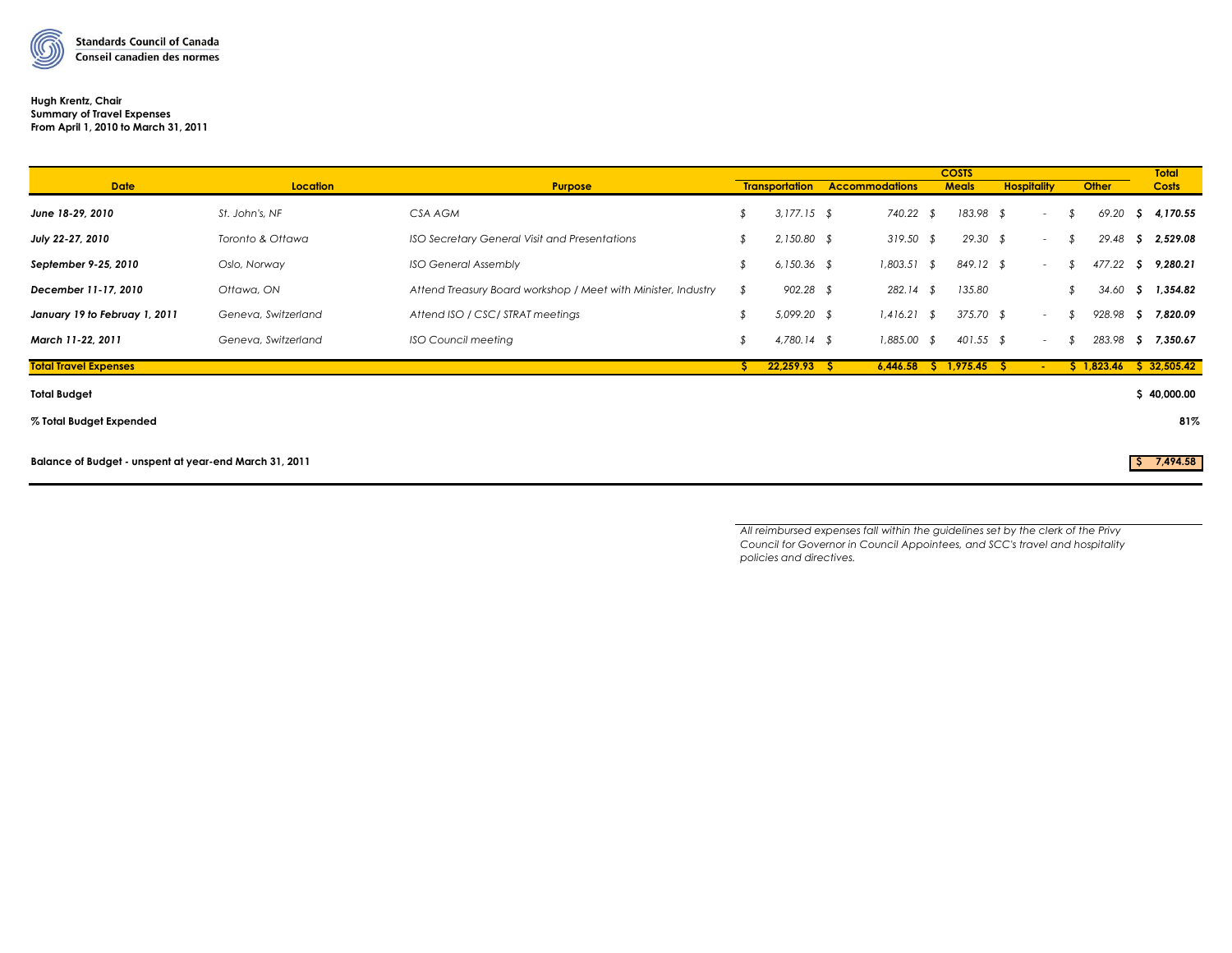

### **Hugh Krentz, Chair Summary of Travel Expenses From April 1, 2010 to March 31, 2011**

|                                                        |                     |                                                               |    |                       |                       |  | <b>COSTS</b>           |                          |               |            |    | <b>Total</b> |
|--------------------------------------------------------|---------------------|---------------------------------------------------------------|----|-----------------------|-----------------------|--|------------------------|--------------------------|---------------|------------|----|--------------|
| <b>Date</b>                                            | Location            | <b>Purpose</b>                                                |    | <b>Transportation</b> | <b>Accommodations</b> |  | <b>Meals</b>           | <b>Hospitality</b>       |               | Other      |    | <b>Costs</b> |
| June 18-29, 2010                                       | St. John's, NF      | CSA AGM                                                       |    | $3,177.15$ \$         | 740.22 \$             |  | 183.98 \$              | $\overline{\phantom{a}}$ |               | 69.20      |    | \$4,170.55   |
| July 22-27, 2010                                       | Toronto & Ottawa    | ISO Secretary General Visit and Presentations                 |    | $2,150.80$ \$         | $319.50$ \$           |  | $29.30$ \$             | $\overline{\phantom{a}}$ | $\mathcal{F}$ | 29.48      |    | \$2,529.08   |
| September 9-25, 2010                                   | Oslo, Norway        | <b>ISO General Assembly</b>                                   |    | $6,150.36$ \$         | $1,803.51$ \$         |  | 849.12 \$              | $\overline{\phantom{a}}$ |               | 477.22     |    | \$9,280.21   |
| December 11-17, 2010                                   | Ottawa, ON          | Attend Treasury Board workshop / Meet with Minister, Industry | \$ | $902.28$ \$           | $282.14$ \$           |  | 135.80                 |                          |               | 34.60      | s. | 1,354.82     |
| January 19 to Februay 1, 2011                          | Geneva, Switzerland | Attend ISO / CSC/ STRAT meetings                              |    | 5,099.20 \$           | $1,416.21$ \$         |  | 375.70 \$              | $\overline{\phantom{a}}$ |               | 928.98     | S. | 7,820.09     |
| March 11-22, 2011                                      | Geneva, Switzerland | <b>ISO Council meeting</b>                                    | \$ | $4,780.14$ \$         | $1,885.00$ \$         |  | $401.55$ \$            | $\overline{\phantom{a}}$ |               | 283.98     | S. | 7,350.67     |
| <b>Total Travel Expenses</b>                           |                     |                                                               | S. | $22,259.93$ \$        |                       |  | $6,446.58$ \$ 1,975.45 | -51                      |               | \$1,823.46 |    | \$32,505.42  |
| <b>Total Budget</b>                                    |                     |                                                               |    |                       |                       |  |                        |                          |               |            |    | \$40,000.00  |
| % Total Budget Expended                                |                     |                                                               |    |                       |                       |  |                        |                          |               |            |    | 81%          |
| Balance of Budget - unspent at year-end March 31, 2011 |                     |                                                               |    |                       |                       |  | $5$ 7,494.58           |                          |               |            |    |              |

*All reimbursed expenses fall within the guidelines set by the clerk of the Privy Council for Governor in Council Appointees, and SCC's travel and hospitality policies and directives.*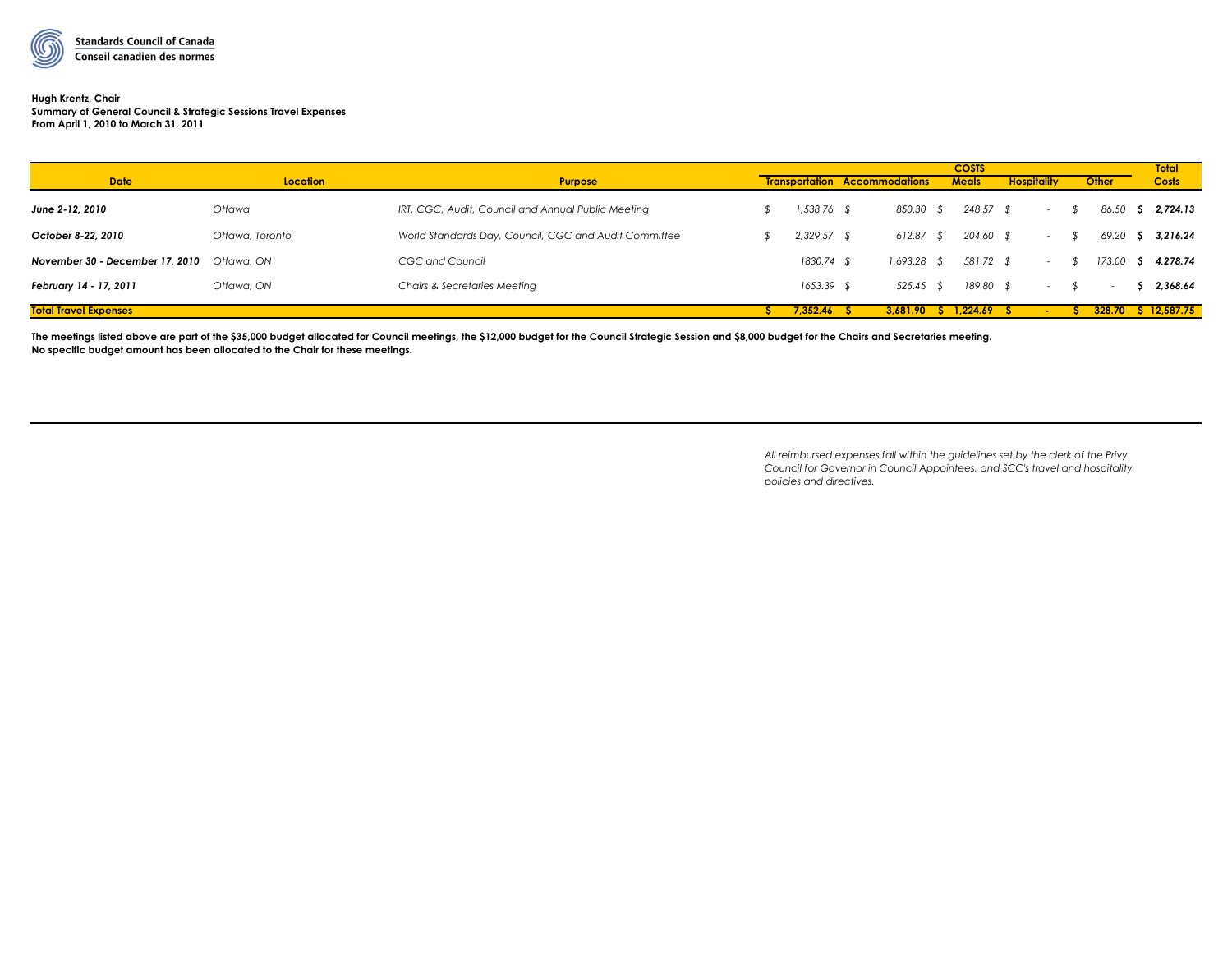

# **Hugh Krentz, Chair**

**Summary of General Council & Strategic Sessions Travel Expenses From April 1, 2010 to March 31, 2011**

|                                 |                 |                                                       |  |               | <b>COSTS</b>                         |  |              |                    |                 |  |        | <b>Total</b>        |
|---------------------------------|-----------------|-------------------------------------------------------|--|---------------|--------------------------------------|--|--------------|--------------------|-----------------|--|--------|---------------------|
| <b>Date</b>                     | Location        | <b>Purpose</b>                                        |  |               | <b>Transportation Accommodations</b> |  | <b>Meals</b> | <b>Hospitality</b> |                 |  | Other  | <b>Costs</b>        |
| June 2-12, 2010                 | Ottawa          | IRT, CGC, Audit, Council and Annual Public Meeting    |  | 1,538.76      | 850.30                               |  | $248.57$ \$  |                    | <b>Service</b>  |  | 86.50  | \$2,724.13          |
| October 8-22, 2010              | Ottawa, Toronto | World Standards Day, Council, CGC and Audit Committee |  | $2,329.57$ \$ | 612.87                               |  | 204.60 \$    |                    | $\sim 10$       |  | 69.20  | \$3,216.24          |
| November 30 - December 17, 2010 | Ottawa, ON      | CGC and Council                                       |  | 1830.74       | 1,693.28                             |  | 581.72 \$    |                    | $\sim$ 10 $\pm$ |  | 173.00 | \$4,278.74          |
| February 14 - 17, 2011          | Ottawa, ON      | Chairs & Secretaries Meeting                          |  | 1653.39       | 525.45                               |  | 189.80 \$    |                    | $\sim$          |  | $\sim$ | \$2,368.64          |
| <b>Total Travel Expenses</b>    |                 |                                                       |  | 7.352.46      | 3.681.90                             |  | 1.224.69     |                    |                 |  |        | 328.70 \$ 12,587.75 |

The meetings listed above are part of the \$35,000 budget allocated for Council meetings, the \$12,000 budget for the Council Strategic Session and \$8,000 budget for the Chairs and Secretaries meeting. **No specific budget amount has been allocated to the Chair for these meetings.**

> *All reimbursed expenses fall within the guidelines set by the clerk of the Privy Council for Governor in Council Appointees, and SCC's travel and hospitality policies and directives.*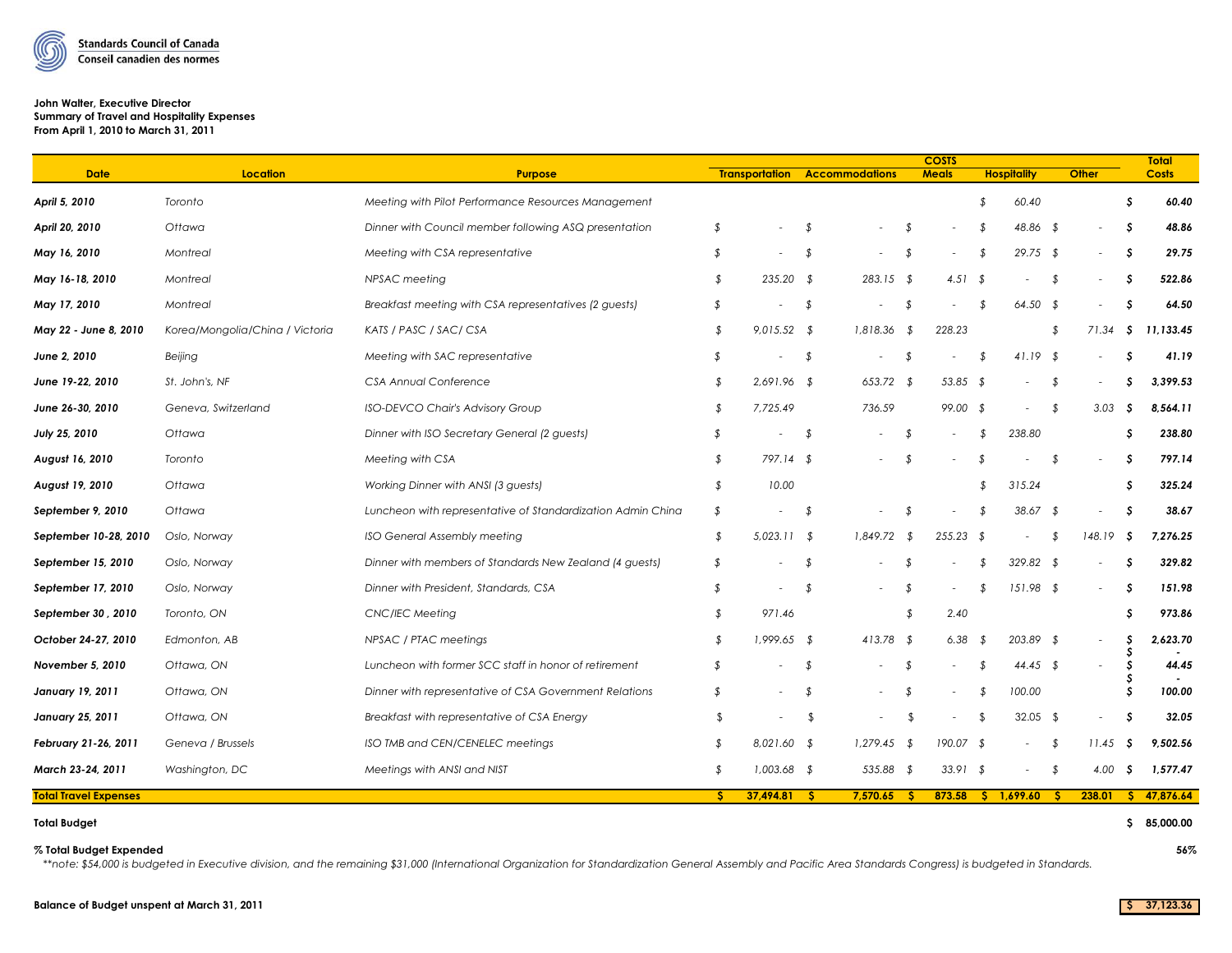

### **John Walter, Executive Director Summary of Travel and Hospitality Expenses From April 1, 2010 to March 31, 2011**

| <b>Transportation</b><br><b>Accommodations</b><br><b>Meals</b><br><b>Hospitality</b><br><b>Other</b><br><b>Costs</b><br><b>Date</b><br><b>Purpose</b><br>S.<br>60.40<br>60.40<br>Toronto<br>Meeting with Pilot Performance Resources Management<br>\$<br>48.86<br>Dinner with Council member following ASQ presentation<br>s<br>Ottawa<br>\$<br>\$<br>48.86 \$<br>-\$<br>29.75 \$<br>29.75<br>Meeting with CSA representative<br>\$<br>\$<br>-\$<br>Montreal<br>\$<br>\$<br>$235.20$ \$<br>283.15 \$<br>4.51 $$$<br>\$.<br>522.86<br>Montreal<br>NPSAC meeting<br>\$<br>\$<br>64.50<br>Breakfast meeting with CSA representatives (2 guests)<br>\$<br>\$<br>Montreal<br>\$<br>\$<br>$64.50$ \$<br>\$<br>Korea/Mongolia/China / Victoria<br>KATS / PASC / SAC/ CSA<br>\$<br>$9,015.52$ \$<br>1,818.36<br>228.23<br>11,133.45<br>71.34<br>-\$<br>-\$<br>\$<br>$41.19$ \$<br>41.19<br>Beijing<br>Meeting with SAC representative<br>\$<br>\$<br>\$<br>-\$<br>\$<br>$\sim$<br>St. John's, NF<br><b>CSA Annual Conference</b><br>\$<br>653.72<br>53.85<br>3,399.53<br>$2,691.96$ \$<br>\$<br>- \$<br>- \$<br>S.<br>Geneva, Switzerland<br>\$<br>7,725.49<br>736.59<br>99.00 \$<br>8,564.11<br><b>ISO-DEVCO Chair's Advisory Group</b><br>\$<br>3.03<br>-S<br>$\overline{\phantom{a}}$<br>S<br>238.80<br>Ottawa<br>Dinner with ISO Secretary General (2 guests)<br>\$<br>238.80<br>-\$<br>\$<br>S.<br>$\overline{\phantom{a}}$<br>\$<br>797.14 \$<br>\$<br>797.14<br>August 16, 2010<br>Toronto<br>Meeting with CSA<br>\$<br>\$<br>Ottawa<br>Working Dinner with ANSI (3 quests)<br>\$<br>10.00<br>\$<br>315.24<br>\$<br>325.24<br>\$<br>\$<br>38.67<br>Ottawa<br>Luncheon with representative of Standardization Admin China<br>$38.67$ \$<br>\$<br>\$<br>$\overline{\phantom{a}}$<br>\$<br>$5,023.11$ \$<br>1,849.72<br>$255.23$ \$<br>7,276.25<br>Oslo, Norway<br><b>ISO General Assembly meeting</b><br>-\$<br>148.19<br>S<br>-\$<br>Dinner with members of Standards New Zealand (4 guests)<br>329.82 \$<br>s<br>329.82<br>Oslo, Norway<br>\$<br>\$<br>\$<br>Oslo, Norway<br>Dinner with President, Standards, CSA<br>\$<br>$151.98$ \$<br>-\$<br>151.98<br>\$<br>\$<br>\$<br>\$<br>2.40<br>s<br>973.86<br>Toronto, ON<br><b>CNC/IEC Meeting</b><br>971.46<br>\$<br>NPSAC / PTAC meetings<br>$1,999.65$ \$<br>$413.78$ \$<br>6.38<br>203.89 \$<br>S<br>2,623.70<br>October 24-27, 2010<br>Edmonton, AB<br>\$<br>-\$<br>44.45<br>Ottawa, ON<br>Luncheon with former SCC staff in honor of retirement<br>\$<br>44.45 \$<br>\$<br>\$<br>\$<br>100.00<br>Ottawa, ON<br>Dinner with representative of CSA Government Relations<br>\$<br>100.00<br>S<br>\$<br>\$<br>$\overline{\phantom{a}}$<br>Ottawa, ON<br>$\sqrt{2}$<br>32.05 \$<br>32.05<br>Breakfast with representative of CSA Energy<br>\$<br>\$<br>S<br>\$<br>$\overline{\phantom{a}}$<br>$\overline{\phantom{a}}$<br>ISO TMB and CEN/CENELEC meetings<br>\$<br>$8,021.60$ \$<br>1,279.45<br>190.07 \$<br>9,502.56<br>February 21-26, 2011<br>Geneva / Brussels<br>- \$<br>\$<br>11.45<br>-S<br>$\overline{\phantom{a}}$<br>Meetings with ANSI and NIST<br>\$<br>$1,003.68$ \$<br>535.88 \$<br>$33.91$ \$<br>4.00<br>1,577.47<br>Washington, DC<br>-\$<br>-S<br>$\overline{\phantom{a}}$<br>37,494.81<br>7,570.65<br>47,876.64<br>S.<br>873.58<br>$S = 1,699.60$<br>238.01<br>-S.<br>S.<br>-5<br>- 5 |                              |                 |  |  |  |  |  | <b>COSTS</b> |  |  |  |  | <b>Total</b> |
|--------------------------------------------------------------------------------------------------------------------------------------------------------------------------------------------------------------------------------------------------------------------------------------------------------------------------------------------------------------------------------------------------------------------------------------------------------------------------------------------------------------------------------------------------------------------------------------------------------------------------------------------------------------------------------------------------------------------------------------------------------------------------------------------------------------------------------------------------------------------------------------------------------------------------------------------------------------------------------------------------------------------------------------------------------------------------------------------------------------------------------------------------------------------------------------------------------------------------------------------------------------------------------------------------------------------------------------------------------------------------------------------------------------------------------------------------------------------------------------------------------------------------------------------------------------------------------------------------------------------------------------------------------------------------------------------------------------------------------------------------------------------------------------------------------------------------------------------------------------------------------------------------------------------------------------------------------------------------------------------------------------------------------------------------------------------------------------------------------------------------------------------------------------------------------------------------------------------------------------------------------------------------------------------------------------------------------------------------------------------------------------------------------------------------------------------------------------------------------------------------------------------------------------------------------------------------------------------------------------------------------------------------------------------------------------------------------------------------------------------------------------------------------------------------------------------------------------------------------------------------------------------------------------------------------------------------------------------------------------------------------------------------------------------------------------------------------------------------------------------------------------------------------------------------------------------------------------------------------------------------------------------------------------------------------------------------------------------------------|------------------------------|-----------------|--|--|--|--|--|--------------|--|--|--|--|--------------|
|                                                                                                                                                                                                                                                                                                                                                                                                                                                                                                                                                                                                                                                                                                                                                                                                                                                                                                                                                                                                                                                                                                                                                                                                                                                                                                                                                                                                                                                                                                                                                                                                                                                                                                                                                                                                                                                                                                                                                                                                                                                                                                                                                                                                                                                                                                                                                                                                                                                                                                                                                                                                                                                                                                                                                                                                                                                                                                                                                                                                                                                                                                                                                                                                                                                                                                                                                        |                              | <b>Location</b> |  |  |  |  |  |              |  |  |  |  |              |
|                                                                                                                                                                                                                                                                                                                                                                                                                                                                                                                                                                                                                                                                                                                                                                                                                                                                                                                                                                                                                                                                                                                                                                                                                                                                                                                                                                                                                                                                                                                                                                                                                                                                                                                                                                                                                                                                                                                                                                                                                                                                                                                                                                                                                                                                                                                                                                                                                                                                                                                                                                                                                                                                                                                                                                                                                                                                                                                                                                                                                                                                                                                                                                                                                                                                                                                                                        | April 5, 2010                |                 |  |  |  |  |  |              |  |  |  |  |              |
|                                                                                                                                                                                                                                                                                                                                                                                                                                                                                                                                                                                                                                                                                                                                                                                                                                                                                                                                                                                                                                                                                                                                                                                                                                                                                                                                                                                                                                                                                                                                                                                                                                                                                                                                                                                                                                                                                                                                                                                                                                                                                                                                                                                                                                                                                                                                                                                                                                                                                                                                                                                                                                                                                                                                                                                                                                                                                                                                                                                                                                                                                                                                                                                                                                                                                                                                                        | April 20, 2010               |                 |  |  |  |  |  |              |  |  |  |  |              |
|                                                                                                                                                                                                                                                                                                                                                                                                                                                                                                                                                                                                                                                                                                                                                                                                                                                                                                                                                                                                                                                                                                                                                                                                                                                                                                                                                                                                                                                                                                                                                                                                                                                                                                                                                                                                                                                                                                                                                                                                                                                                                                                                                                                                                                                                                                                                                                                                                                                                                                                                                                                                                                                                                                                                                                                                                                                                                                                                                                                                                                                                                                                                                                                                                                                                                                                                                        | May 16, 2010                 |                 |  |  |  |  |  |              |  |  |  |  |              |
|                                                                                                                                                                                                                                                                                                                                                                                                                                                                                                                                                                                                                                                                                                                                                                                                                                                                                                                                                                                                                                                                                                                                                                                                                                                                                                                                                                                                                                                                                                                                                                                                                                                                                                                                                                                                                                                                                                                                                                                                                                                                                                                                                                                                                                                                                                                                                                                                                                                                                                                                                                                                                                                                                                                                                                                                                                                                                                                                                                                                                                                                                                                                                                                                                                                                                                                                                        | May 16-18, 2010              |                 |  |  |  |  |  |              |  |  |  |  |              |
|                                                                                                                                                                                                                                                                                                                                                                                                                                                                                                                                                                                                                                                                                                                                                                                                                                                                                                                                                                                                                                                                                                                                                                                                                                                                                                                                                                                                                                                                                                                                                                                                                                                                                                                                                                                                                                                                                                                                                                                                                                                                                                                                                                                                                                                                                                                                                                                                                                                                                                                                                                                                                                                                                                                                                                                                                                                                                                                                                                                                                                                                                                                                                                                                                                                                                                                                                        | May 17, 2010                 |                 |  |  |  |  |  |              |  |  |  |  |              |
|                                                                                                                                                                                                                                                                                                                                                                                                                                                                                                                                                                                                                                                                                                                                                                                                                                                                                                                                                                                                                                                                                                                                                                                                                                                                                                                                                                                                                                                                                                                                                                                                                                                                                                                                                                                                                                                                                                                                                                                                                                                                                                                                                                                                                                                                                                                                                                                                                                                                                                                                                                                                                                                                                                                                                                                                                                                                                                                                                                                                                                                                                                                                                                                                                                                                                                                                                        | May 22 - June 8, 2010        |                 |  |  |  |  |  |              |  |  |  |  |              |
|                                                                                                                                                                                                                                                                                                                                                                                                                                                                                                                                                                                                                                                                                                                                                                                                                                                                                                                                                                                                                                                                                                                                                                                                                                                                                                                                                                                                                                                                                                                                                                                                                                                                                                                                                                                                                                                                                                                                                                                                                                                                                                                                                                                                                                                                                                                                                                                                                                                                                                                                                                                                                                                                                                                                                                                                                                                                                                                                                                                                                                                                                                                                                                                                                                                                                                                                                        | June 2, 2010                 |                 |  |  |  |  |  |              |  |  |  |  |              |
|                                                                                                                                                                                                                                                                                                                                                                                                                                                                                                                                                                                                                                                                                                                                                                                                                                                                                                                                                                                                                                                                                                                                                                                                                                                                                                                                                                                                                                                                                                                                                                                                                                                                                                                                                                                                                                                                                                                                                                                                                                                                                                                                                                                                                                                                                                                                                                                                                                                                                                                                                                                                                                                                                                                                                                                                                                                                                                                                                                                                                                                                                                                                                                                                                                                                                                                                                        | June 19-22, 2010             |                 |  |  |  |  |  |              |  |  |  |  |              |
|                                                                                                                                                                                                                                                                                                                                                                                                                                                                                                                                                                                                                                                                                                                                                                                                                                                                                                                                                                                                                                                                                                                                                                                                                                                                                                                                                                                                                                                                                                                                                                                                                                                                                                                                                                                                                                                                                                                                                                                                                                                                                                                                                                                                                                                                                                                                                                                                                                                                                                                                                                                                                                                                                                                                                                                                                                                                                                                                                                                                                                                                                                                                                                                                                                                                                                                                                        | June 26-30, 2010             |                 |  |  |  |  |  |              |  |  |  |  |              |
|                                                                                                                                                                                                                                                                                                                                                                                                                                                                                                                                                                                                                                                                                                                                                                                                                                                                                                                                                                                                                                                                                                                                                                                                                                                                                                                                                                                                                                                                                                                                                                                                                                                                                                                                                                                                                                                                                                                                                                                                                                                                                                                                                                                                                                                                                                                                                                                                                                                                                                                                                                                                                                                                                                                                                                                                                                                                                                                                                                                                                                                                                                                                                                                                                                                                                                                                                        | July 25, 2010                |                 |  |  |  |  |  |              |  |  |  |  |              |
|                                                                                                                                                                                                                                                                                                                                                                                                                                                                                                                                                                                                                                                                                                                                                                                                                                                                                                                                                                                                                                                                                                                                                                                                                                                                                                                                                                                                                                                                                                                                                                                                                                                                                                                                                                                                                                                                                                                                                                                                                                                                                                                                                                                                                                                                                                                                                                                                                                                                                                                                                                                                                                                                                                                                                                                                                                                                                                                                                                                                                                                                                                                                                                                                                                                                                                                                                        |                              |                 |  |  |  |  |  |              |  |  |  |  |              |
|                                                                                                                                                                                                                                                                                                                                                                                                                                                                                                                                                                                                                                                                                                                                                                                                                                                                                                                                                                                                                                                                                                                                                                                                                                                                                                                                                                                                                                                                                                                                                                                                                                                                                                                                                                                                                                                                                                                                                                                                                                                                                                                                                                                                                                                                                                                                                                                                                                                                                                                                                                                                                                                                                                                                                                                                                                                                                                                                                                                                                                                                                                                                                                                                                                                                                                                                                        | August 19, 2010              |                 |  |  |  |  |  |              |  |  |  |  |              |
|                                                                                                                                                                                                                                                                                                                                                                                                                                                                                                                                                                                                                                                                                                                                                                                                                                                                                                                                                                                                                                                                                                                                                                                                                                                                                                                                                                                                                                                                                                                                                                                                                                                                                                                                                                                                                                                                                                                                                                                                                                                                                                                                                                                                                                                                                                                                                                                                                                                                                                                                                                                                                                                                                                                                                                                                                                                                                                                                                                                                                                                                                                                                                                                                                                                                                                                                                        | September 9, 2010            |                 |  |  |  |  |  |              |  |  |  |  |              |
|                                                                                                                                                                                                                                                                                                                                                                                                                                                                                                                                                                                                                                                                                                                                                                                                                                                                                                                                                                                                                                                                                                                                                                                                                                                                                                                                                                                                                                                                                                                                                                                                                                                                                                                                                                                                                                                                                                                                                                                                                                                                                                                                                                                                                                                                                                                                                                                                                                                                                                                                                                                                                                                                                                                                                                                                                                                                                                                                                                                                                                                                                                                                                                                                                                                                                                                                                        | September 10-28, 2010        |                 |  |  |  |  |  |              |  |  |  |  |              |
|                                                                                                                                                                                                                                                                                                                                                                                                                                                                                                                                                                                                                                                                                                                                                                                                                                                                                                                                                                                                                                                                                                                                                                                                                                                                                                                                                                                                                                                                                                                                                                                                                                                                                                                                                                                                                                                                                                                                                                                                                                                                                                                                                                                                                                                                                                                                                                                                                                                                                                                                                                                                                                                                                                                                                                                                                                                                                                                                                                                                                                                                                                                                                                                                                                                                                                                                                        | September 15, 2010           |                 |  |  |  |  |  |              |  |  |  |  |              |
|                                                                                                                                                                                                                                                                                                                                                                                                                                                                                                                                                                                                                                                                                                                                                                                                                                                                                                                                                                                                                                                                                                                                                                                                                                                                                                                                                                                                                                                                                                                                                                                                                                                                                                                                                                                                                                                                                                                                                                                                                                                                                                                                                                                                                                                                                                                                                                                                                                                                                                                                                                                                                                                                                                                                                                                                                                                                                                                                                                                                                                                                                                                                                                                                                                                                                                                                                        | September 17, 2010           |                 |  |  |  |  |  |              |  |  |  |  |              |
|                                                                                                                                                                                                                                                                                                                                                                                                                                                                                                                                                                                                                                                                                                                                                                                                                                                                                                                                                                                                                                                                                                                                                                                                                                                                                                                                                                                                                                                                                                                                                                                                                                                                                                                                                                                                                                                                                                                                                                                                                                                                                                                                                                                                                                                                                                                                                                                                                                                                                                                                                                                                                                                                                                                                                                                                                                                                                                                                                                                                                                                                                                                                                                                                                                                                                                                                                        | September 30, 2010           |                 |  |  |  |  |  |              |  |  |  |  |              |
|                                                                                                                                                                                                                                                                                                                                                                                                                                                                                                                                                                                                                                                                                                                                                                                                                                                                                                                                                                                                                                                                                                                                                                                                                                                                                                                                                                                                                                                                                                                                                                                                                                                                                                                                                                                                                                                                                                                                                                                                                                                                                                                                                                                                                                                                                                                                                                                                                                                                                                                                                                                                                                                                                                                                                                                                                                                                                                                                                                                                                                                                                                                                                                                                                                                                                                                                                        |                              |                 |  |  |  |  |  |              |  |  |  |  |              |
|                                                                                                                                                                                                                                                                                                                                                                                                                                                                                                                                                                                                                                                                                                                                                                                                                                                                                                                                                                                                                                                                                                                                                                                                                                                                                                                                                                                                                                                                                                                                                                                                                                                                                                                                                                                                                                                                                                                                                                                                                                                                                                                                                                                                                                                                                                                                                                                                                                                                                                                                                                                                                                                                                                                                                                                                                                                                                                                                                                                                                                                                                                                                                                                                                                                                                                                                                        | November 5, 2010             |                 |  |  |  |  |  |              |  |  |  |  |              |
|                                                                                                                                                                                                                                                                                                                                                                                                                                                                                                                                                                                                                                                                                                                                                                                                                                                                                                                                                                                                                                                                                                                                                                                                                                                                                                                                                                                                                                                                                                                                                                                                                                                                                                                                                                                                                                                                                                                                                                                                                                                                                                                                                                                                                                                                                                                                                                                                                                                                                                                                                                                                                                                                                                                                                                                                                                                                                                                                                                                                                                                                                                                                                                                                                                                                                                                                                        | January 19, 2011             |                 |  |  |  |  |  |              |  |  |  |  |              |
|                                                                                                                                                                                                                                                                                                                                                                                                                                                                                                                                                                                                                                                                                                                                                                                                                                                                                                                                                                                                                                                                                                                                                                                                                                                                                                                                                                                                                                                                                                                                                                                                                                                                                                                                                                                                                                                                                                                                                                                                                                                                                                                                                                                                                                                                                                                                                                                                                                                                                                                                                                                                                                                                                                                                                                                                                                                                                                                                                                                                                                                                                                                                                                                                                                                                                                                                                        | <b>January 25, 2011</b>      |                 |  |  |  |  |  |              |  |  |  |  |              |
|                                                                                                                                                                                                                                                                                                                                                                                                                                                                                                                                                                                                                                                                                                                                                                                                                                                                                                                                                                                                                                                                                                                                                                                                                                                                                                                                                                                                                                                                                                                                                                                                                                                                                                                                                                                                                                                                                                                                                                                                                                                                                                                                                                                                                                                                                                                                                                                                                                                                                                                                                                                                                                                                                                                                                                                                                                                                                                                                                                                                                                                                                                                                                                                                                                                                                                                                                        |                              |                 |  |  |  |  |  |              |  |  |  |  |              |
|                                                                                                                                                                                                                                                                                                                                                                                                                                                                                                                                                                                                                                                                                                                                                                                                                                                                                                                                                                                                                                                                                                                                                                                                                                                                                                                                                                                                                                                                                                                                                                                                                                                                                                                                                                                                                                                                                                                                                                                                                                                                                                                                                                                                                                                                                                                                                                                                                                                                                                                                                                                                                                                                                                                                                                                                                                                                                                                                                                                                                                                                                                                                                                                                                                                                                                                                                        | March 23-24, 2011            |                 |  |  |  |  |  |              |  |  |  |  |              |
|                                                                                                                                                                                                                                                                                                                                                                                                                                                                                                                                                                                                                                                                                                                                                                                                                                                                                                                                                                                                                                                                                                                                                                                                                                                                                                                                                                                                                                                                                                                                                                                                                                                                                                                                                                                                                                                                                                                                                                                                                                                                                                                                                                                                                                                                                                                                                                                                                                                                                                                                                                                                                                                                                                                                                                                                                                                                                                                                                                                                                                                                                                                                                                                                                                                                                                                                                        | <b>Total Travel Expenses</b> |                 |  |  |  |  |  |              |  |  |  |  |              |

#### **Total Budget \$ 85,000.00**

## **% Total Budget Expended 56%**

 *\*\*note: \$54,000 is budgeted in Executive division, and the remaining \$31,000 (International Organization for Standardization General Assembly and Pacific Area Standards Congress) is budgeted in Standards.*